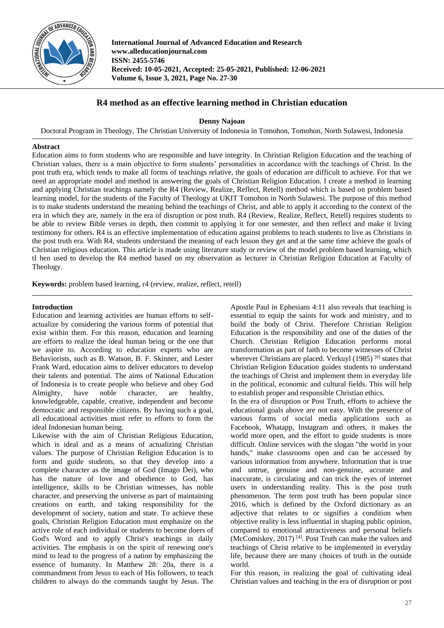

**International Journal of Advanced Education and Research www.alleducationjournal.com ISSN: 2455-5746 Received: 10-05-2021, Accepted: 25-05-2021, Published: 12-06-2021 Volume 6, Issue 3, 2021, Page No. 27-30**

# **R4 method as an effective learning method in Christian education**

**Denny Najoan**

Doctoral Program in Theology, The Christian University of Indonesia in Tomohon, Tomohon, North Sulawesi, Indonesia

### **Abstract**

Education aims to form students who are responsible and have integrity. In Christian Religion Education and the teaching of Christian values, there is a main objective to form students' personalities in accordance with the teachings of Christ. In the post truth era, which tends to make all forms of teachings relative, the goals of education are difficult to achieve. For that we need an appropriate model and method in answering the goals of Christian Religion Education. I create a method in learning and applying Christian teachings namely the R4 (Review, Realize, Reflect, Retell) method which is based on problem based learning model, for the students of the Faculty of Theology at UKIT Tomohon in North Sulawesi. The purpose of this method is to make students understand the meaning behind the teachings of Christ, and able to apply it according to the context of the era in which they are, namely in the era of disruption or post truth. R4 (Review, Realize, Reflect, Retell) requires students to be able to review Bible verses in depth, then commit to applying it for one semester, and then reflect and make it living testimony for others. R4 is an effective implementation of education against problems to teach students to live as Christians in the post truth era. With R4, students understand the meaning of each lesson they get and at the same time achieve the goals of Christian religious education. This article is made using literature study or review of the model problem based learning, which tI hen used to develop the R4 method based on my observation as lecturer in Christian Religion Education at Faculty of Theology.

**Keywords:** problem based learning, r4 (review, realize, reflect, retell)

### **Introduction**

Education and learning activities are human efforts to selfactualize by considering the various forms of potential that exist within them. For this reason, education and learning are efforts to realize the ideal human being or the one that we aspire to. According to education experts who are Behaviorists, such as B. Watson, B. F. Skinner, and Lester Frank Ward, education aims to deliver educators to develop their talents and potential. The aims of National Education of Indonesia is to create people who believe and obey God Almighty, have noble character, are healthy, knowledgeable, capable, creative, independent and become democratic and responsible citizens. By having such a goal, all educational activities must refer to efforts to form the ideal Indonesian human being.

Likewise with the aim of Christian Religious Education, which is ideal and as a means of actualizing Christian values. The purpose of Christian Religion Education is to form and guide students, so that they develop into a complete character as the image of God (Imago Dei), who has the nature of love and obedience to God, has intelligence, skills to be Christian witnesses, has noble character, and preserving the universe as part of maintaining creations on earth, and taking responsibility for the development of society, nation and state. To achieve these goals, Christian Religion Education must emphasize on the active role of each individual or students to become doers of God's Word and to apply Christ's teachings in daily activities. The emphasis is on the spirit of renewing one's mind to lead to the progress of a nation by emphasizing the essence of humanity. In Matthew 28: 20a, there is a commandment from Jesus to each of His followers, to teach children to always do the commands taught by Jesus. The

Apostle Paul in Ephesians 4:11 also reveals that teaching is essential to equip the saints for work and ministry, and to build the body of Christ. Therefore Christian Religion Education is the responsibility and one of the duties of the Church. Christian Religion Education performs moral transformation as part of faith to become witnesses of Christ wherever Christians are placed. Verkuyl (1985)<sup>[6]</sup> states that Christian Religion Education guides students to understand the teachings of Christ and implement them in everyday life in the political, economic and cultural fields. This will help to establish proper and responsible Christian ethics.

In the era of disruption or Post Truth, efforts to achieve the educational goals above are not easy. With the presence of various forms of social media applications such as Facebook, Whatapp, Instagram and others, it makes the world more open, and the effort to guide students is more difficult. Online services with the slogan "the world in your hands," make classrooms open and can be accessed by various information from anywhere. Information that is true and untrue, genuine and non-genuine, accurate and inaccurate, is circulating and can trick the eyes of internet users in understanding reality. This is the post truth phenomenon. The term post truth has been popular since 2016, which is defined by the Oxford dictionary as an adjective that relates to or signifies a condition when objective reality is less influential in shaping public opinion, compared to emotional attractiveness and personal beliefs (McComiskey, 2017)<sup>[4]</sup>. Post Truth can make the values and teachings of Christ relative to be implemented in everyday life, because there are many choices of truth in the outside world.

For this reason, in realizing the goal of cultivating ideal Christian values and teaching in the era of disruption or post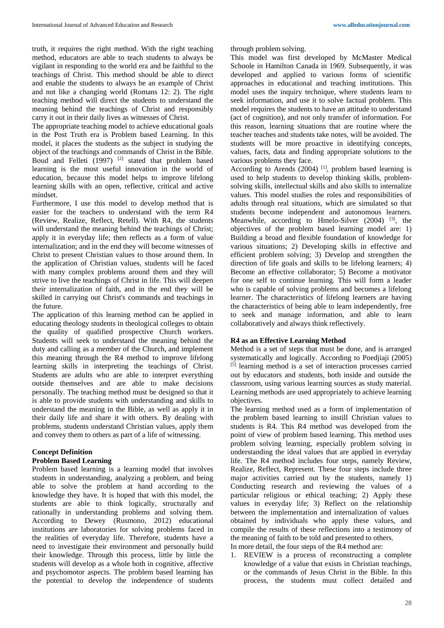truth, it requires the right method. With the right teaching method, educators are able to teach students to always be vigilant in responding to the world era and be faithful to the teachings of Christ. This method should be able to direct and enable the students to always be an example of Christ and not like a changing world (Romans 12: 2). The right teaching method will direct the students to understand the meaning behind the teachings of Christ and responsibly carry it out in their daily lives as witnesses of Christ.

The appropriate teaching model to achieve educational goals in the Post Truth era is Problem based Learning. In this model, it places the students as the subject in studying the object of the teachings and commands of Christ in the Bible. Boud and Felleti  $(1997)$ <sup>[2]</sup> stated that problem based learning is the most useful innovation in the world of education, because this model helps to improve lifelong learning skills with an open, reflective, critical and active mindset.

Furthermore, I use this model to develop method that is easier for the teachers to understand with the term R4 (Review, Realize, Reflect, Retell). With R4, the students will understand the meaning behind the teachings of Christ; apply it in everyday life; then reflects as a form of value internalization; and in the end they will become witnesses of Christ to present Christian values to those around them. In the application of Christian values, students will be faced with many complex problems around them and they will strive to live the teachings of Christ in life. This will deepen their internalization of faith, and in the end they will be skilled in carrying out Christ's commands and teachings in the future.

The application of this learning method can be applied in educating theology students in theological colleges to obtain the quality of qualified prospective Church workers. Students will seek to understand the meaning behind the duty and calling as a member of the Church, and implement this meaning through the R4 method to improve lifelong learning skills in interpreting the teachings of Christ. Students are adults who are able to interpret everything outside themselves and are able to make decisions personally. The teaching method must be designed so that it is able to provide students with understanding and skills to understand the meaning in the Bible, as well as apply it in their daily life and share it with others. By dealing with problems, students understand Christian values, apply them and convey them to others as part of a life of witnessing.

## **Concept Definition**

### **Problem Based Learning**

Problem based learning is a learning model that involves students in understanding, analyzing a problem, and being able to solve the problem at hand according to the knowledge they have. It is hoped that with this model, the students are able to think logically, structurally and rationally in understanding problems and solving them. According to Dewey (Rusmono, 2012) educational institutions are laboratories for solving problems faced in the realities of everyday life. Therefore, students have a need to investigate their environment and personally build their knowledge. Through this process, little by little the students will develop as a whole both in cognitive, affective and psychomotor aspects. The problem based learning has the potential to develop the independence of students through problem solving.

This model was first developed by McMaster Medical Schoole in Hamilton Canada in 1969. Subsequently, it was developed and applied to various forms of scientific approaches in educational and teaching institutions. This model uses the inquiry technique, where students learn to seek information, and use it to solve factual problem. This model requires the students to have an attitude to understand (act of cognition), and not only transfer of information. For this reason, learning situations that are routine where the teacher teaches and students take notes, will be avoided. The students will be more proactive in identifying concepts, values, facts, data and finding appropriate solutions to the various problems they face.

According to Arends  $(2004)$ <sup>[1]</sup>, problem based learning is used to help students to develop thinking skills, problemsolving skills, intellectual skills and also skills to internalize values. This model studies the roles and responsibilities of adults through real situations, which are simulated so that students become independent and autonomous learners. Meanwhile, according to Hmelo-Silver  $(2004)$  <sup>[3]</sup>, the objectives of the problem based learning model are: 1) Building a broad and flexible foundation of knowledge for various situations; 2) Developing skills in effective and efficient problem solving; 3) Develop and strengthen the direction of life goals and skills to be lifelong learners; 4) Become an effective collaborator; 5) Become a motivator for one self to continue learning. This will form a leader who is capable of solving problems and becomes a lifelong learner. The characteristics of lifelong learners are having the characteristics of being able to learn independently, free to seek and manage information, and able to learn collaboratively and always think reflectively.

### **R4 as an Effective Learning Method**

Method is a set of steps that must be done, and is arranged systematically and logically. According to Poedjiaji (2005) [5] learning method is a set of interaction processes carried out by educators and students, both inside and outside the classroom, using various learning sources as study material. Learning methods are used appropriately to achieve learning objectives.

The learning method used as a form of implementation of the problem based learning to instill Christian values to students is R4. This R4 method was developed from the point of view of problem based learning. This method uses problem solving learning, especially problem solving in understanding the ideal values that are applied in everyday life. The R4 method includes four steps, namely Review, Realize, Reflect, Represent. These four steps include three major activities carried out by the students, namely 1) Conducting research and reviewing the values of a particular religious or ethical teaching; 2) Apply these values in everyday life; 3) Reflect on the relationship between the implementation and internalization of values obtained by individuals who apply these values, and compile the results of these reflections into a testimony of the meaning of faith to be told and presented to others. In more detail, the four steps of the R4 method are:

1. REVIEW is a process of reconstructing a complete knowledge of a value that exists in Christian teachings, or the commands of Jesus Christ in the Bible. In this process, the students must collect detailed and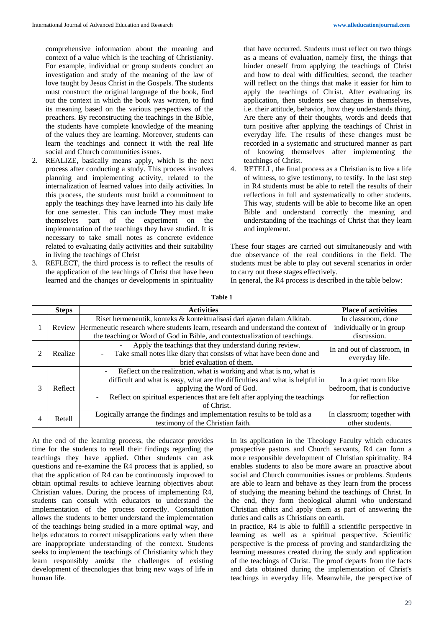comprehensive information about the meaning and context of a value which is the teaching of Christianity. For example, individual or group students conduct an investigation and study of the meaning of the law of love taught by Jesus Christ in the Gospels. The students must construct the original language of the book, find out the context in which the book was written, to find its meaning based on the various perspectives of the preachers. By reconstructing the teachings in the Bible, the students have complete knowledge of the meaning of the values they are learning. Moreover, students can learn the teachings and connect it with the real life social and Church communities issues.

- 2. REALIZE, basically means apply, which is the next process after conducting a study. This process involves planning and implementing activity, related to the internalization of learned values into daily activities. In this process, the students must build a commitment to apply the teachings they have learned into his daily life for one semester. This can include They must make themselves part of the experiment on the implementation of the teachings they have studied. It is necessary to take small notes as concrete evidence related to evaluating daily activities and their suitability in living the teachings of Christ
- 3. REFLECT, the third process is to reflect the results of the application of the teachings of Christ that have been learned and the changes or developments in spirituality

that have occurred. Students must reflect on two things as a means of evaluation, namely first, the things that hinder oneself from applying the teachings of Christ and how to deal with difficulties; second, the teacher will reflect on the things that make it easier for him to apply the teachings of Christ. After evaluating its application, then students see changes in themselves, i.e. their attitude, behavior, how they understands thing. Are there any of their thoughts, words and deeds that turn positive after applying the teachings of Christ in everyday life. The results of these changes must be recorded in a systematic and structured manner as part of knowing themselves after implementing the teachings of Christ.

4. RETELL, the final process as a Christian is to live a life of witness, to give testimony, to testify. In the last step in R4 students must be able to retell the results of their reflections in full and systematically to other students. This way, students will be able to become like an open Bible and understand correctly the meaning and understanding of the teachings of Christ that they learn and implement.

These four stages are carried out simultaneously and with due observance of the real conditions in the field. The students must be able to play out several scenarios in order to carry out these stages effectively.

In general, the R4 process is described in the table below:

|   | <b>Steps</b> | <b>Activities</b>                                                                                                                                                                                                                                                             | <b>Place of activities</b>                                           |
|---|--------------|-------------------------------------------------------------------------------------------------------------------------------------------------------------------------------------------------------------------------------------------------------------------------------|----------------------------------------------------------------------|
|   |              | Riset hermeneutik, konteks & kontektualisasi dari ajaran dalam Alkitab.<br>Review Hermeneutic research where students learn, research and understand the context of<br>the teaching or Word of God in Bible, and contextualization of teachings.                              | In classroom, done<br>individually or in group<br>discussion.        |
|   | Realize      | Apply the teachings that they understand during review.<br>Take small notes like diary that consists of what have been done and<br>brief evaluation of them.                                                                                                                  | In and out of classroom, in<br>everyday life.                        |
| 3 | Reflect      | Reflect on the realization, what is working and what is no, what is<br>difficult and what is easy, what are the difficulties and what is helpful in<br>applying the Word of God.<br>Reflect on spiritual experiences that are felt after applying the teachings<br>of Christ. | In a quiet room like<br>bedroom, that is conducive<br>for reflection |
| 4 | Retell       | Logically arrange the findings and implementation results to be told as a<br>testimony of the Christian faith.                                                                                                                                                                | In classroom; together with<br>other students.                       |

At the end of the learning process, the educator provides time for the students to retell their findings regarding the teachings they have applied. Other students can ask questions and re-examine the R4 process that is applied, so that the application of R4 can be continuously improved to obtain optimal results to achieve learning objectives about Christian values. During the process of implementing R4, students can consult with educators to understand the implementation of the process correctly. Consultation allows the students to better understand the implementation of the teachings being studied in a more optimal way, and helps educators to correct misapplications early when there are inappropriate understanding of the context. Students seeks to implement the teachings of Christianity which they learn responsibly amidst the challenges of existing development of thecnologies that bring new ways of life in human life.

In its application in the Theology Faculty which educates prospective pastors and Church servants, R4 can form a more responsible development of Christian spirituality. R4 enables students to also be more aware an proactive about social and Church communities issues or problems. Students are able to learn and behave as they learn from the process of studying the meaning behind the teachings of Christ. In the end, they form theological alumni who understand Christian ethics and apply them as part of answering the duties and calls as Christians on earth.

In practice, R4 is able to fulfill a scientific perspective in learning as well as a spiritual perspective. Scientific perspective is the process of proving and standardizing the learning measures created during the study and application of the teachings of Christ. The proof departs from the facts and data obtained during the implementation of Christ's teachings in everyday life. Meanwhile, the perspective of

**Table 1**